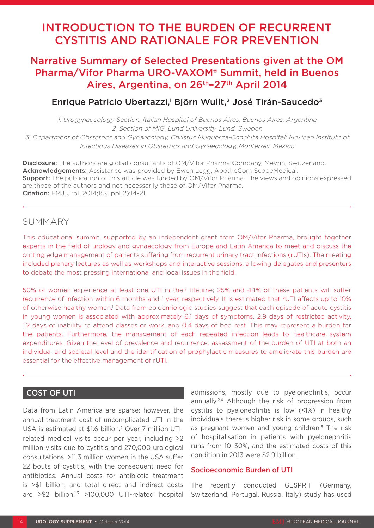# INTRODUCTION TO THE BURDEN OF RECURRENT CYSTITIS AND RATIONALE FOR PREVENTION

# Narrative Summary of Selected Presentations given at the OM Pharma/Vifor Pharma URO-VAXOM® Summit, held in Buenos Aires, Argentina, on 26<sup>th</sup>-27<sup>th</sup> April 2014

# Enrique Patricio Ubertazzi,<sup>1</sup> Björn Wullt,<sup>2</sup> José Tirán-Saucedo<sup>3</sup>

1. Urogynaecology Section, Italian Hospital of Buenos Aires, Buenos Aires, Argentina 2. Section of MIG, Lund University, Lund, Sweden 3. Department of Obstetrics and Gynaecology, Christus Muguerza-Conchita Hospital; Mexican Institute of Infectious Diseases in Obstetrics and Gynaecology, Monterrey, Mexico

**Disclosure:** The authors are global consultants of OM/Vifor Pharma Company, Meyrin, Switzerland. Acknowledgements: Assistance was provided by Ewen Legg, ApotheCom ScopeMedical. **Support:** The publication of this article was funded by OM/Vifor Pharma. The views and opinions expressed are those of the authors and not necessarily those of OM/Vifor Pharma. Citation: EMJ Urol. 2014;1(Suppl 2):14-21.

## SUMMARY

This educational summit, supported by an independent grant from OM/Vifor Pharma, brought together experts in the field of urology and gynaecology from Europe and Latin America to meet and discuss the cutting edge management of patients suffering from recurrent urinary tract infections (rUTIs). The meeting included plenary lectures as well as workshops and interactive sessions, allowing delegates and presenters to debate the most pressing international and local issues in the field.

50% of women experience at least one UTI in their lifetime; 25% and 44% of these patients will suffer recurrence of infection within 6 months and 1 year, respectively. It is estimated that rUTI affects up to 10% of otherwise healthy women.<sup>1</sup> Data from epidemiologic studies suggest that each episode of acute cystitis in young women is associated with approximately 6.1 days of symptoms, 2.9 days of restricted activity, 1.2 days of inability to attend classes or work, and 0.4 days of bed rest. This may represent a burden for the patients. Furthermore, the management of each repeated infection leads to healthcare system expenditures. Given the level of prevalence and recurrence, assessment of the burden of UTI at both an individual and societal level and the identification of prophylactic measures to ameliorate this burden are essential for the effective management of rUTI.

## COST OF UTI

Data from Latin America are sparse; however, the annual treatment cost of uncomplicated UTI in the USA is estimated at \$1.6 billion.2 Over 7 million UTIrelated medical visits occur per year, including >2 million visits due to cystitis and 270,000 urological consultations. >11.3 million women in the USA suffer ≥2 bouts of cystitis, with the consequent need for antibiotics. Annual costs for antibiotic treatment is >\$1 billion, and total direct and indirect costs are  $> $2$  billion.<sup>1,3</sup>  $> 100,000$  UTI-related hospital admissions, mostly due to pyelonephritis, occur annually.2,4 Although the risk of progression from cystitis to pyelonephritis is low (<1%) in healthy individuals there is higher risk in some groups, such as pregnant women and young children.<sup>5</sup> The risk of hospitalisation in patients with pyelonephritis runs from 10–30%, and the estimated costs of this condition in 2013 were \$2.9 billion.

#### Socioeconomic Burden of UTI

The recently conducted GESPRIT (Germany, Switzerland, Portugal, Russia, Italy) study has used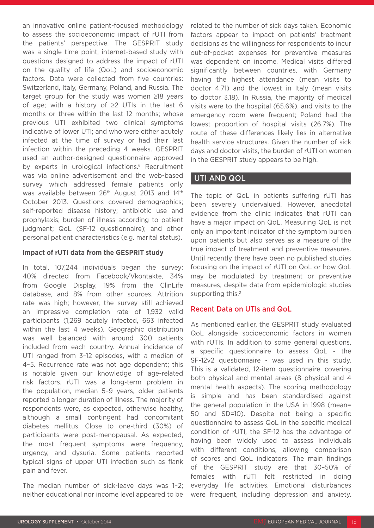an innovative online patient-focused methodology to assess the socioeconomic impact of rUTI from the patients' perspective. The GESPRIT study was a single time point, internet-based study with questions designed to address the impact of rUTI on the quality of life (QoL) and socioeconomic factors. Data were collected from five countries: Switzerland, Italy, Germany, Poland, and Russia. The target group for the study was women ≥18 years of age; with a history of ≥2 UTIs in the last 6 months or three within the last 12 months; whose previous UTI exhibited two clinical symptoms indicative of lower UTI; and who were either acutely infected at the time of survey or had their last infection within the preceding 4 weeks. GESPRIT used an author-designed questionnaire approved by experts in urological infections.<sup>6</sup> Recruitment was via online advertisement and the web-based survey which addressed female patients only was available between 26<sup>th</sup> August 2013 and 14<sup>th</sup> October 2013. Questions covered demographics; self-reported disease history; antibiotic use and prophylaxis; burden of illness according to patient judgment; QoL (SF-12 questionnaire); and other personal patient characteristics (e.g. marital status).

#### **Impact of rUTI data from the GESPRIT study**

In total, 107,244 individuals began the survey: 40% directed from Facebook/Vkontakte, 34% from Google Display, 19% from the ClinLife database, and 8% from other sources. Attrition rate was high; however, the survey still achieved an impressive completion rate of 1,932 valid participants (1,269 acutely infected, 663 infected within the last 4 weeks). Geographic distribution was well balanced with around 300 patients included from each country. Annual incidence of UTI ranged from 3–12 episodes, with a median of 4–5. Recurrence rate was not age dependent; this is notable given our knowledge of age-related risk factors. rUTI was a long-term problem in the population, median 5–9 years, older patients reported a longer duration of illness. The majority of respondents were, as expected, otherwise healthy, although a small contingent had concomitant diabetes mellitus. Close to one-third (30%) of participants were post-menopausal. As expected, the most frequent symptoms were frequency, urgency, and dysuria. Some patients reported typical signs of upper UTI infection such as flank pain and fever.

The median number of sick-leave days was 1–2; neither educational nor income level appeared to be related to the number of sick days taken. Economic factors appear to impact on patients' treatment decisions as the willingness for respondents to incur out-of-pocket expenses for preventive measures was dependent on income. Medical visits differed significantly between countries, with Germany having the highest attendance (mean visits to doctor 4.71) and the lowest in Italy (mean visits to doctor 3.18). In Russia, the majority of medical visits were to the hospital (65.6%), and visits to the emergency room were frequent; Poland had the lowest proportion of hospital visits (26.7%). The route of these differences likely lies in alternative health service structures. Given the number of sick days and doctor visits, the burden of rUTI on women in the GESPRIT study appears to be high.

## UTI AND QOL

The topic of QoL in patients suffering rUTI has been severely undervalued. However, anecdotal evidence from the clinic indicates that rUTI can have a major impact on QoL. Measuring QoL is not only an important indicator of the symptom burden upon patients but also serves as a measure of the true impact of treatment and preventive measures. Until recently there have been no published studies focusing on the impact of rUTI on QoL or how QoL may be modulated by treatment or preventive measures, despite data from epidemiologic studies supporting this.<sup>2</sup>

#### Recent Data on UTIs and QoL

As mentioned earlier, the GESPRIT study evaluated QoL alongside socioeconomic factors in women with rUTIs. In addition to some general questions, a specific questionnaire to assess QoL - the SF-12v2 questionnaire - was used in this study. This is a validated, 12-item questionnaire, covering both physical and mental areas (8 physical and 4 mental health aspects). The scoring methodology is simple and has been standardised against the general population in the USA in 1998 (mean= 50 and SD=10). Despite not being a specific questionnaire to assess QoL in the specific medical condition of rUTI, the SF-12 has the advantage of having been widely used to assess individuals with different conditions, allowing comparison of scores and QoL indicators. The main findings of the GESPRIT study are that 30–50% of females with rUTI felt restricted in doing everyday life activities. Emotional disturbances were frequent, including depression and anxiety.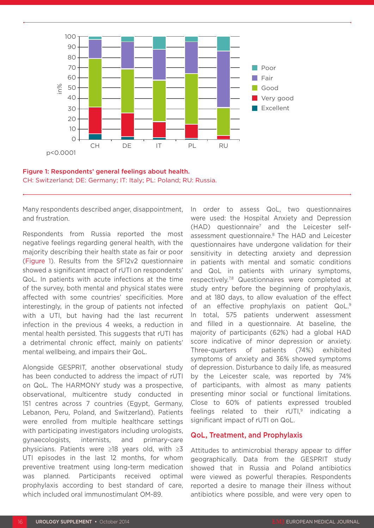



Many respondents described anger, disappointment, and frustration.

Respondents from Russia reported the most negative feelings regarding general health, with the majority describing their health state as fair or poor (Figure 1). Results from the SF12v2 questionnaire showed a significant impact of rUTI on respondents' QoL. In patients with acute infections at the time of the survey, both mental and physical states were affected with some countries' specificities. More interestingly, in the group of patients not infected with a UTI, but having had the last recurrent infection in the previous 4 weeks, a reduction in mental health persisted. This suggests that rUTI has a detrimental chronic effect, mainly on patients' mental wellbeing, and impairs their QoL.

Alongside GESPRIT, another observational study has been conducted to address the impact of rUTI on QoL. The HARMONY study was a prospective, observational, multicentre study conducted in 151 centres across 7 countries (Egypt, Germany, Lebanon, Peru, Poland, and Switzerland). Patients were enrolled from multiple healthcare settings with participating investigators including urologists, gynaecologists, internists, and primary-care physicians. Patients were ≥18 years old, with ≥3 UTI episodes in the last 12 months, for whom preventive treatment using long-term medication was planned. Participants received optimal prophylaxis according to best standard of care, which included oral immunostimulant OM-89.

In order to assess QoL, two questionnaires were used: the Hospital Anxiety and Depression (HAD) questionnaire7 and the Leicester selfassessment questionnaire.8 The HAD and Leicester questionnaires have undergone validation for their sensitivity in detecting anxiety and depression in patients with mental and somatic conditions and QoL in patients with urinary symptoms, respectively.7,8 Questionnaires were completed at study entry before the beginning of prophylaxis, and at 180 days, to allow evaluation of the effect of an effective prophylaxis on patient QoL.9 In total, 575 patients underwent assessment and filled in a questionnaire. At baseline, the majority of participants (62%) had a global HAD score indicative of minor depression or anxiety. Three-quarters of patients (74%) exhibited symptoms of anxiety and 36% showed symptoms of depression. Disturbance to daily life, as measured by the Leicester scale, was reported by 74% of participants, with almost as many patients presenting minor social or functional limitations. Close to 60% of patients expressed troubled feelings related to their  $rUTI$ ,<sup>9</sup> indicating a significant impact of rUTI on QoL.

#### QoL, Treatment, and Prophylaxis

Attitudes to antimicrobial therapy appear to differ geographically. Data from the GESPRIT study showed that in Russia and Poland antibiotics were viewed as powerful therapies. Respondents reported a desire to manage their illness without antibiotics where possible, and were very open to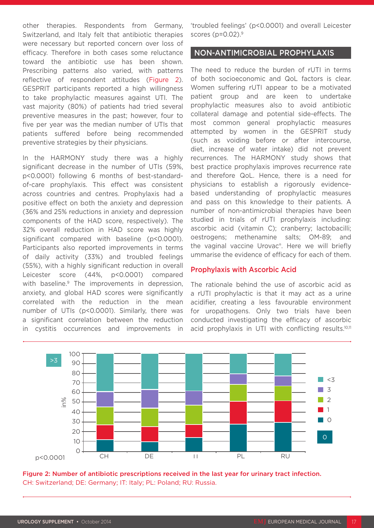other therapies. Respondents from Germany, Switzerland, and Italy felt that antibiotic therapies were necessary but reported concern over loss of efficacy. Therefore in both cases some reluctance toward the antibiotic use has been shown. Prescribing patterns also varied, with patterns reflective of respondent attitudes (Figure 2). GESPRIT participants reported a high willingness to take prophylactic measures against UTI. The vast majority (80%) of patients had tried several preventive measures in the past; however, four to five per year was the median number of UTIs that patients suffered before being recommended preventive strategies by their physicians.

In the HARMONY study there was a highly significant decrease in the number of UTIs (59%, p<0.0001) following 6 months of best-standardof-care prophylaxis. This effect was consistent across countries and centres. Prophylaxis had a positive effect on both the anxiety and depression (36% and 25% reductions in anxiety and depression components of the HAD score, respectively). The 32% overall reduction in HAD score was highly significant compared with baseline (p<0.0001). Participants also reported improvements in terms of daily activity (33%) and troubled feelings (55%), with a highly significant reduction in overall Leicester score (44%, p<0.0001) compared with baseline.<sup>9</sup> The improvements in depression, anxiety, and global HAD scores were significantly correlated with the reduction in the mean number of UTIs (p<0.0001). Similarly, there was a significant correlation between the reduction in cystitis occurrences and improvements in 'troubled feelings' (p<0.0001) and overall Leicester scores ( $p=0.02$ ).<sup>9</sup>

#### NON-ANTIMICROBIAL PROPHYLAXIS

The need to reduce the burden of rUTI in terms of both socioeconomic and QoL factors is clear. Women suffering rUTI appear to be a motivated patient group and are keen to undertake prophylactic measures also to avoid antibiotic collateral damage and potential side-effects. The most common general prophylactic measures attempted by women in the GESPRIT study (such as voiding before or after intercourse, diet, increase of water intake) did not prevent recurrences. The HARMONY study shows that best practice prophylaxis improves recurrence rate and therefore QoL. Hence, there is a need for physicians to establish a rigorously evidencebased understanding of prophylactic measures and pass on this knowledge to their patients. A number of non-antimicrobial therapies have been studied in trials of rUTI prophylaxis including: ascorbic acid (vitamin C); cranberry; lactobacilli; oestrogens; methenamine salts; OM-89; and the vaginal vaccine Urovac®. Here we will briefly ummarise the evidence of efficacy for each of them.

#### Prophylaxis with Ascorbic Acid

The rationale behind the use of ascorbic acid as a rUTI prophylactic is that it may act as a urine acidifier, creating a less favourable environment for uropathogens. Only two trials have been conducted investigating the efficacy of ascorbic acid prophylaxis in UTI with conflicting results.<sup>10,11</sup>



Figure 2: Number of antibiotic prescriptions received in the last year for urinary tract infection. CH: Switzerland; DE: Germany; IT: Italy; PL: Poland; RU: Russia.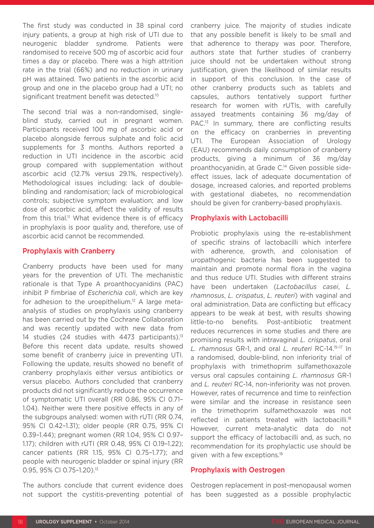The first study was conducted in 38 spinal cord injury patients, a group at high risk of UTI due to neurogenic bladder syndrome. Patients were randomised to receive 500 mg of ascorbic acid four times a day or placebo. There was a high attrition rate in the trial (66%) and no reduction in urinary pH was attained. Two patients in the ascorbic acid group and one in the placebo group had a UTI; no significant treatment benefit was detected.<sup>10</sup>

The second trial was a non-randomised, singleblind study, carried out in pregnant women. Participants received 100 mg of ascorbic acid or placebo alongside ferrous sulphate and folic acid supplements for 3 months. Authors reported a reduction in UTI incidence in the ascorbic acid group compared with supplementation without ascorbic acid (12.7% versus 29.1%, respectively). Methodological issues including: lack of doubleblinding and randomisation; lack of microbiological controls; subjective symptom evaluation; and low dose of ascorbic acid, affect the validity of results from this trial.<sup>11</sup> What evidence there is of efficacy in prophylaxis is poor quality and, therefore, use of ascorbic acid cannot be recommended.

#### Prophylaxis with Cranberry

Cranberry products have been used for many years for the prevention of UTI. The mechanistic rationale is that Type A proanthocyanidins (PAC) inhibit P fimbriae of *Escherichia coli*, which are key for adhesion to the uroepithelium.<sup>12</sup> A large metaanalysis of studies on prophylaxis using cranberry has been carried out by the Cochrane Collaboration and was recently updated with new data from 14 studies (24 studies with  $4473$  participants).<sup>13</sup> Before this recent data update, results showed some benefit of cranberry juice in preventing UTI. Following the update, results showed no benefit of cranberry prophylaxis either versus antibiotics or versus placebo. Authors concluded that cranberry products did not significantly reduce the occurrence of symptomatic UTI overall (RR 0.86, 95% CI 0.71– 1.04). Neither were there positive effects in any of the subgroups analysed: women with rUTI (RR 0.74, 95% CI 0.42–1.31); older people (RR 0.75, 95% CI 0.39–1.44); pregnant women (RR 1.04, 95% CI 0.97– 1.17); children with rUTI (RR 0.48, 95% CI 0.19–1.22); cancer patients (RR 1.15, 95% CI 0.75–1.77); and people with neurogenic bladder or spinal injury (RR 0.95, 95% CI 0.75-1.20).<sup>13</sup>

The authors conclude that current evidence does not support the cystitis-preventing potential of cranberry juice. The majority of studies indicate that any possible benefit is likely to be small and that adherence to therapy was poor. Therefore, authors state that further studies of cranberry juice should not be undertaken without strong justification, given the likelihood of similar results in support of this conclusion. In the case of other cranberry products such as tablets and capsules, authors tentatively support further research for women with rUTIs, with carefully assayed treatments containing 36 mg/day of PAC.<sup>13</sup> In summary, there are conflicting results on the efficacy on cranberries in preventing UTI. The European Association of Urology (EAU) recommends daily consumption of cranberry products, giving a minimum of 36 mg/day proanthocyanidin, at Grade C.<sup>14</sup> Given possible sideeffect issues, lack of adequate documentation of dosage, increased calories, and reported problems with gestational diabetes, no recommendation should be given for cranberry-based prophylaxis.

#### Prophylaxis with Lactobacilli

Probiotic prophylaxis using the re-establishment of specific strains of lactobacilli which interfere with adherence, growth, and colonisation of uropathogenic bacteria has been suggested to maintain and promote normal flora in the vagina and thus reduce UTI. Studies with different strains have been undertaken (*Lactobacillus casei*, *L. rhamnosus*, *L. crispatus*, *L. reuteri*) with vaginal and oral administration. Data are conflicting but efficacy appears to be weak at best, with results showing little-to-no benefits. Post-antibiotic treatment reduces recurrences in some studies and there are promising results with intravaginal *L. crispatus*, oral *L. rhamnosus* GR-1, and oral *L. reuteri* RC-14.15–17 In a randomised, double-blind, non inferiority trial of prophylaxis with trimethoprim sulfamethoxazole versus oral capsules containing *L. rhamnosus* GR-1 and *L. reuteri* RC-14, non-inferiority was not proven. However, rates of recurrence and time to reinfection were similar and the increase in resistance seen in the trimethoprim sulfamethoxazole was not reflected in patients treated with lactobacilli.<sup>18</sup> However, current meta-analytic data do not support the efficacy of lactobacilli and, as such, no recommendation for its prophylactic use should be given with a few exceptions.18

#### Prophylaxis with Oestrogen

Oestrogen replacement in post-menopausal women has been suggested as a possible prophylactic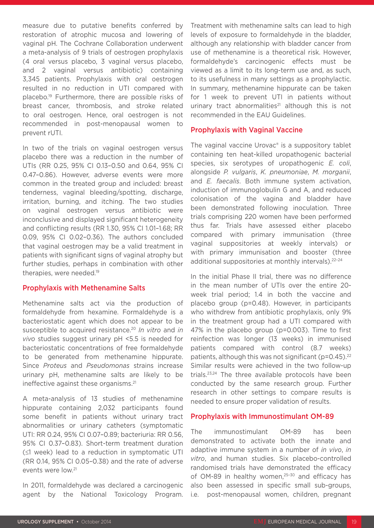measure due to putative benefits conferred by restoration of atrophic mucosa and lowering of vaginal pH. The Cochrane Collaboration underwent a meta-analysis of 9 trials of oestrogen prophylaxis (4 oral versus placebo, 3 vaginal versus placebo, and 2 vaginal versus antibiotic) containing 3,345 patients. Prophylaxis with oral oestrogen resulted in no reduction in UTI compared with placebo.19 Furthermore, there are possible risks of breast cancer, thrombosis, and stroke related to oral oestrogen. Hence, oral oestrogen is not recommended in post-menopausal women to prevent rUTI.

In two of the trials on vaginal oestrogen versus placebo there was a reduction in the number of UTIs (RR 0.25, 95% CI 0.13–0.50 and 0.64, 95% CI 0.47–0.86). However, adverse events were more common in the treated group and included: breast tenderness, vaginal bleeding/spotting, discharge, irritation, burning, and itching. The two studies on vaginal oestrogen versus antibiotic were inconclusive and displayed significant heterogeneity and conflicting results (RR 1.30, 95% CI 1.01–1.68; RR 0.09, 95% CI 0.02–0.36). The authors concluded that vaginal oestrogen may be a valid treatment in patients with significant signs of vaginal atrophy but further studies, perhaps in combination with other therapies, were needed.19

#### Prophylaxis with Methenamine Salts

Methenamine salts act via the production of formaldehyde from hexamine. Formaldehyde is a bacteriostatic agent which does not appear to be susceptible to acquired resistance.20 *In vitro* and *in vivo* studies suggest urinary pH <5.5 is needed for bacteriostatic concentrations of free formaldehyde to be generated from methenamine hippurate. Since *Proteus* and *Pseudomonas* strains increase urinary pH, methenamine salts are likely to be ineffective against these organisms.21

A meta-analysis of 13 studies of methenamine hippurate containing 2,032 participants found some benefit in patients without urinary tract abnormalities or urinary catheters (symptomatic UTI: RR 0.24, 95% CI 0.07–0.89; bacteriuria: RR 0.56, 95% CI 0.37–0.83). Short-term treatment duration (≤1 week) lead to a reduction in symptomatic UTI (RR 0.14, 95% CI 0.05–0.38) and the rate of adverse events were low.21

In 2011, formaldehyde was declared a carcinogenic agent by the National Toxicology Program.

Treatment with methenamine salts can lead to high levels of exposure to formaldehyde in the bladder, although any relationship with bladder cancer from use of methenamine is a theoretical risk. However, formaldehyde's carcinogenic effects must be viewed as a limit to its long-term use and, as such, to its usefulness in many settings as a prophylactic. In summary, methenamine hippurate can be taken for 1 week to prevent UTI in patients without urinary tract abnormalities $21$  although this is not recommended in the EAU Guidelines.

#### Prophylaxis with Vaginal Vaccine

The vaginal vaccine Urovac® is a suppository tablet containing ten heat-killed uropathogenic bacterial species, six serotypes of uropathogenic *E. coli*, alongside *P. vulgaris*, *K. pneumoniae*, *M. morganii*, and *E. faecalis*. Both immune system activation, induction of immunoglobulin G and A, and reduced colonisation of the vagina and bladder have been demonstrated following inoculation. Three trials comprising 220 women have been performed thus far. Trials have assessed either placebo compared with primary immunisation (three vaginal suppositories at weekly intervals) or with primary immunisation and booster (three additional suppositories at monthly intervals).<sup>22-24</sup>

In the initial Phase II trial, there was no difference in the mean number of UTIs over the entire 20 week trial period; 1.4 in both the vaccine and placebo group (p=0.48). However, in participants who withdrew from antibiotic prophylaxis, only 9% in the treatment group had a UTI compared with 47% in the placebo group (p=0.003). Time to first reinfection was longer (13 weeks) in immunised patients compared with control (8.7 weeks) patients, although this was not significant ( $p=0.45$ ).<sup>22</sup> Similar results were achieved in the two follow-up trials.23,24 The three available protocols have been conducted by the same research group. Further research in other settings to compare results is needed to ensure proper validation of results.

#### Prophylaxis with Immunostimulant OM-89

The immunostimulant OM-89 has been demonstrated to activate both the innate and adaptive immune system in a number of *in vivo*, *in vitro*, and human studies. Six placebo-controlled randomised trials have demonstrated the efficacy of OM-89 in healthy women,<sup>25-30</sup> and efficacy has also been assessed in specific small sub-groups, i.e. post-menopausal women, children, pregnant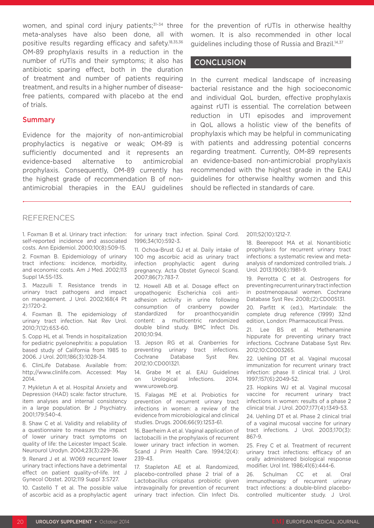women, and spinal cord injury patients;<sup>31-34</sup> three meta-analyses have also been done, all with positive results regarding efficacy and safety.18,35,36 OM-89 prophylaxis results in a reduction in the number of rUTIs and their symptoms; it also has antibiotic sparing effect, both in the duration of treatment and number of patients requiring treatment, and results in a higher number of diseasefree patients, compared with placebo at the end of trials.

#### **Summary**

Evidence for the majority of non-antimicrobial prophylactics is negative or weak; OM-89 is sufficiently documented and it represents an evidence-based alternative to antimicrobial prophylaxis. Consequently, OM-89 currently has the highest grade of recommendation B of nonantimicrobial therapies in the EAU guidelines

for the prevention of rUTIs in otherwise healthy women. It is also recommended in other local guidelines including those of Russia and Brazil.14,37

#### **CONCLUSION**

In the current medical landscape of increasing bacterial resistance and the high socioeconomic and individual QoL burden, effective prophylaxis against rUTI is essential. The correlation between reduction in UTI episodes and improvement in QoL allows a holistic view of the benefits of prophylaxis which may be helpful in communicating with patients and addressing potential concerns regarding treatment. Currently, OM-89 represents an evidence-based non-antimicrobial prophylaxis recommended with the highest grade in the EAU guidelines for otherwise healthy women and this should be reflected in standards of care.

## REFERENCES

1. Foxman B et al. Urinary tract infection: self-reported incidence and associated costs. Ann Epidemiol. 2000;10(8):509-15.

2. Foxman B. Epidemiology of urinary tract infections: incidence, morbidity, and economic costs. Am J Med. 2002;113 Suppl 1A:5S-13S.

3. Mazzulli T. Resistance trends in urinary tract pathogens and impact on management. J Urol. 2002;168(4 Pt 2):1720-2.

4. Foxman B. The epidemiology of urinary tract infection. Nat Rev Urol. 2010;7(12):653-60.

5. Copp HL et al. Trends in hospitalization for pediatric pyelonephritis: a population based study of California from 1985 to 2006. J Urol. 2011;186(3):1028-34.

6. ClinLife Database. Available from: http://www.clinlife.com. Accessed: May 2014.

7. Mykletun A et al. Hospital Anxiety and Depression (HAD) scale: factor structure, item analyses and internal consistency in a large population. Br J Psychiatry. 2001;179:540-4.

8. Shaw C et al. Validity and reliability of a questionnaire to measure the impact of lower urinary tract symptoms on quality of life: the Leicester Impact Scale. Neurourol Urodyn. 2004;23(3):229-36.

9. Renard J et al. W069 recurrent lower urinary tract infections have a detrimental effect on patient quality-of-life. Int J Gynecol Obstet. 2012;119 Suppl 3:S727.

10. Castelló T et al. The possible value of ascorbic acid as a prophylactic agent for urinary tract infection. Spinal Cord. 1996;34(10):592-3.

11. Ochoa-Brust GJ et al. Daily intake of 100 mg ascorbic acid as urinary tract infection prophylactic agent during pregnancy. Acta Obstet Gynecol Scand. 2007;86(7):783-7.

12. Howell AB et al. Dosage effect on uropathogenic Escherichia coli antiadhesion activity in urine following consumption of cranberry powder standardized for proanthocyanidin content: a multicentric randomized double blind study. BMC Infect Dis. 2010;10:94.

13. Jepson RG et al. Cranberries for preventing urinary tract infections. Cochrane Database Syst Rev. 2012;10:CD001321.

14. Grabe M et al. EAU Guidelines on Urological Infections. 2014. www.uroweb.org.

15. Falagas ME et al. Probiotics for prevention of recurrent urinary tract infections in women: a review of the evidence from microbiological and clinical studies. Drugs. 2006;66(9):1253-61.

16. Baerheim A et al. Vaginal application of lactobacilli in the prophylaxis of recurrent lower urinary tract infection in women. Scand J Prim Health Care. 1994;12(4): 239-43.

17. Stapleton AE et al. Randomized, placebo-controlled phase 2 trial of a Lactobacillus crispatus probiotic given intravaginally for prevention of recurrent urinary tract infection. Clin Infect Dis.

#### 2011;52(10):1212-7.

18. Beerepoot MA et al. Nonantibiotic prophylaxis for recurrent urinary tract infections: a systematic review and metaanalysis of randomized controlled trials. J Urol. 2013;190(6):1981-9.

19. Perrotta C et al. Oestrogens for preventing recurrent urinary tract infection in postmenopausal women. Cochrane Database Syst Rev. 2008;(2):CD005131.

20. Parfitt K (ed.), Martindale: the complete drug reference (1999) 32nd edition, London: Pharmaceutical Press.

21. Lee BS et al. Methenamine hippurate for preventing urinary tract infections. Cochrane Database Syst Rev. 2012;10:CD003265.

22. Uehling DT et al. Vaginal mucosal immunization for recurrent urinary tract infection: phase II clinical trial. J Urol. 1997;157(6):2049-52.

23. Hopkins WJ et al. Vaginal mucosal vaccine for recurrent urinary tract infections in women: results of a phase 2 clinical trial. J Urol. 2007;177(4):1349-53.

24. Uehling DT et al. Phase 2 clinical trial of a vaginal mucosal vaccine for urinary tract infections. J Urol. 2003;170(3): 867-9.

25. Frey C et al. Treatment of recurrent urinary tract infections: efficacy of an orally administered biological response modifier. Urol Int. 1986;41(6):444-6.

26. Schulman CC et al. Oral immunotherapy of recurrent urinary tract infections: a double-blind placebocontrolled multicenter study. J Urol.